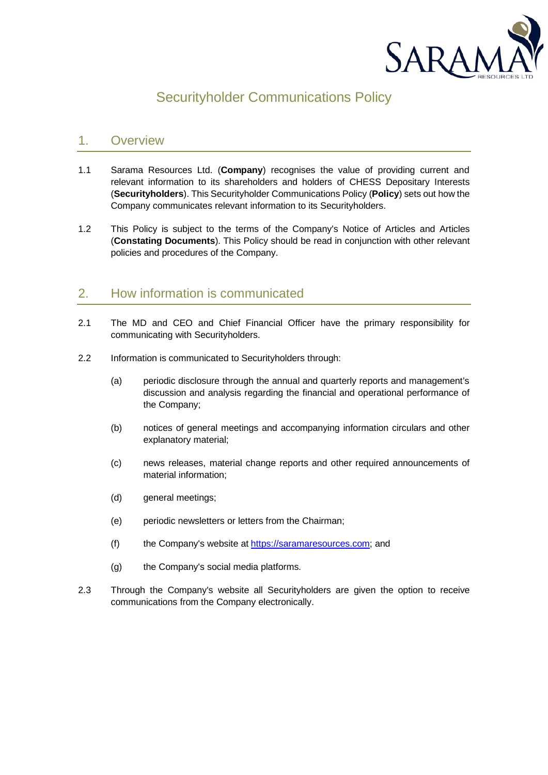

# Securityholder Communications Policy

## 1. Overview

- 1.1 Sarama Resources Ltd. (**Company**) recognises the value of providing current and relevant information to its shareholders and holders of CHESS Depositary Interests (**Securityholders**). This Securityholder Communications Policy (**Policy**) sets out how the Company communicates relevant information to its Securityholders.
- 1.2 This Policy is subject to the terms of the Company's Notice of Articles and Articles (**Constating Documents**). This Policy should be read in conjunction with other relevant policies and procedures of the Company.

## 2. How information is communicated

- 2.1 The MD and CEO and Chief Financial Officer have the primary responsibility for communicating with Securityholders.
- 2.2 Information is communicated to Securityholders through:
	- (a) periodic disclosure through the annual and quarterly reports and management's discussion and analysis regarding the financial and operational performance of the Company;
	- (b) notices of general meetings and accompanying information circulars and other explanatory material;
	- (c) news releases, material change reports and other required announcements of material information;
	- (d) general meetings;
	- (e) periodic newsletters or letters from the Chairman;
	- (f) the Company's website at https://saramaresources.com; and
	- (g) the Company's social media platforms.
- 2.3 Through the Company's website all Securityholders are given the option to receive communications from the Company electronically.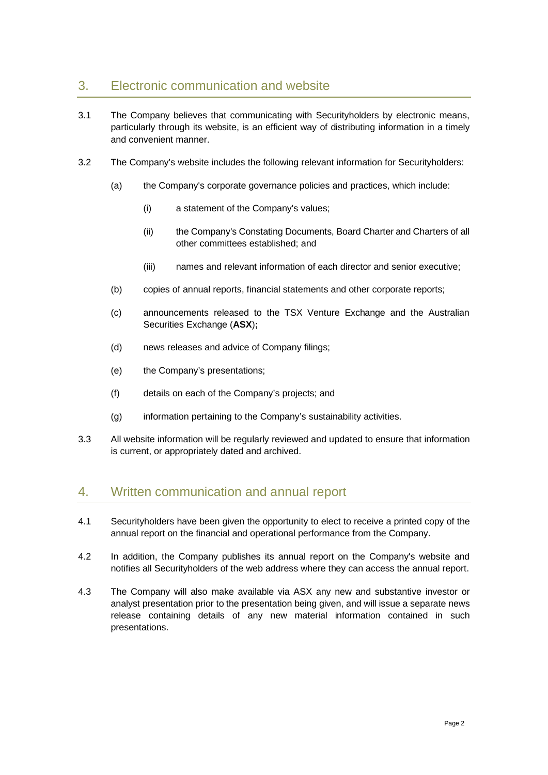## 3. Electronic communication and website

- 3.1 The Company believes that communicating with Securityholders by electronic means, particularly through its website, is an efficient way of distributing information in a timely and convenient manner.
- 3.2 The Company's website includes the following relevant information for Securityholders:
	- (a) the Company's corporate governance policies and practices, which include:
		- (i) a statement of the Company's values;
		- (ii) the Company's Constating Documents, Board Charter and Charters of all other committees established; and
		- (iii) names and relevant information of each director and senior executive;
	- (b) copies of annual reports, financial statements and other corporate reports;
	- (c) announcements released to the TSX Venture Exchange and the Australian Securities Exchange (**ASX**)**;**
	- (d) news releases and advice of Company filings;
	- (e) the Company's presentations;
	- (f) details on each of the Company's projects; and
	- (g) information pertaining to the Company's sustainability activities.
- 3.3 All website information will be regularly reviewed and updated to ensure that information is current, or appropriately dated and archived.

## 4. Written communication and annual report

- 4.1 Securityholders have been given the opportunity to elect to receive a printed copy of the annual report on the financial and operational performance from the Company.
- 4.2 In addition, the Company publishes its annual report on the Company's website and notifies all Securityholders of the web address where they can access the annual report.
- 4.3 The Company will also make available via ASX any new and substantive investor or analyst presentation prior to the presentation being given, and will issue a separate news release containing details of any new material information contained in such presentations.